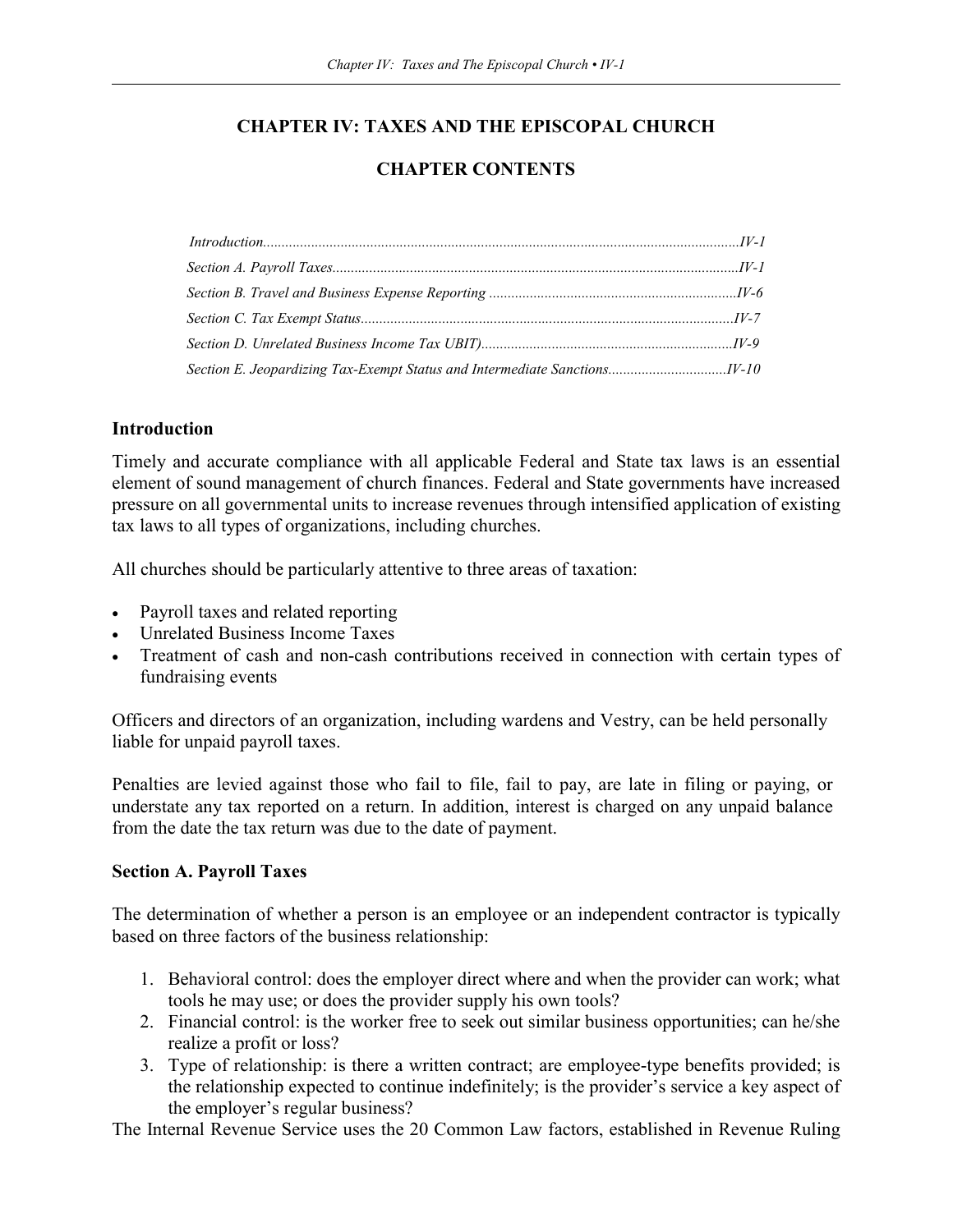# **CHAPTER IV: TAXES AND THE EPISCOPAL CHURCH**

## **CHAPTER CONTENTS**

### **Introduction**

Timely and accurate compliance with all applicable Federal and State tax laws is an essential element of sound management of church finances. Federal and State governments have increased pressure on all governmental units to increase revenues through intensified application of existing tax laws to all types of organizations, including churches.

All churches should be particularly attentive to three areas of taxation:

- Payroll taxes and related reporting
- Unrelated Business Income Taxes
- Treatment of cash and non-cash contributions received in connection with certain types of fundraising events

Officers and directors of an organization, including wardens and Vestry, can be held personally liable for unpaid payroll taxes.

Penalties are levied against those who fail to file, fail to pay, are late in filing or paying, or understate any tax reported on a return. In addition, interest is charged on any unpaid balance from the date the tax return was due to the date of payment.

### **Section A. Payroll Taxes**

The determination of whether a person is an employee or an independent contractor is typically based on three factors of the business relationship:

- 1. Behavioral control: does the employer direct where and when the provider can work; what tools he may use; or does the provider supply his own tools?
- 2. Financial control: is the worker free to seek out similar business opportunities; can he/she realize a profit or loss?
- 3. Type of relationship: is there a written contract; are employee-type benefits provided; is the relationship expected to continue indefinitely; is the provider's service a key aspect of the employer's regular business?

The Internal Revenue Service uses the 20 Common Law factors, established in Revenue Ruling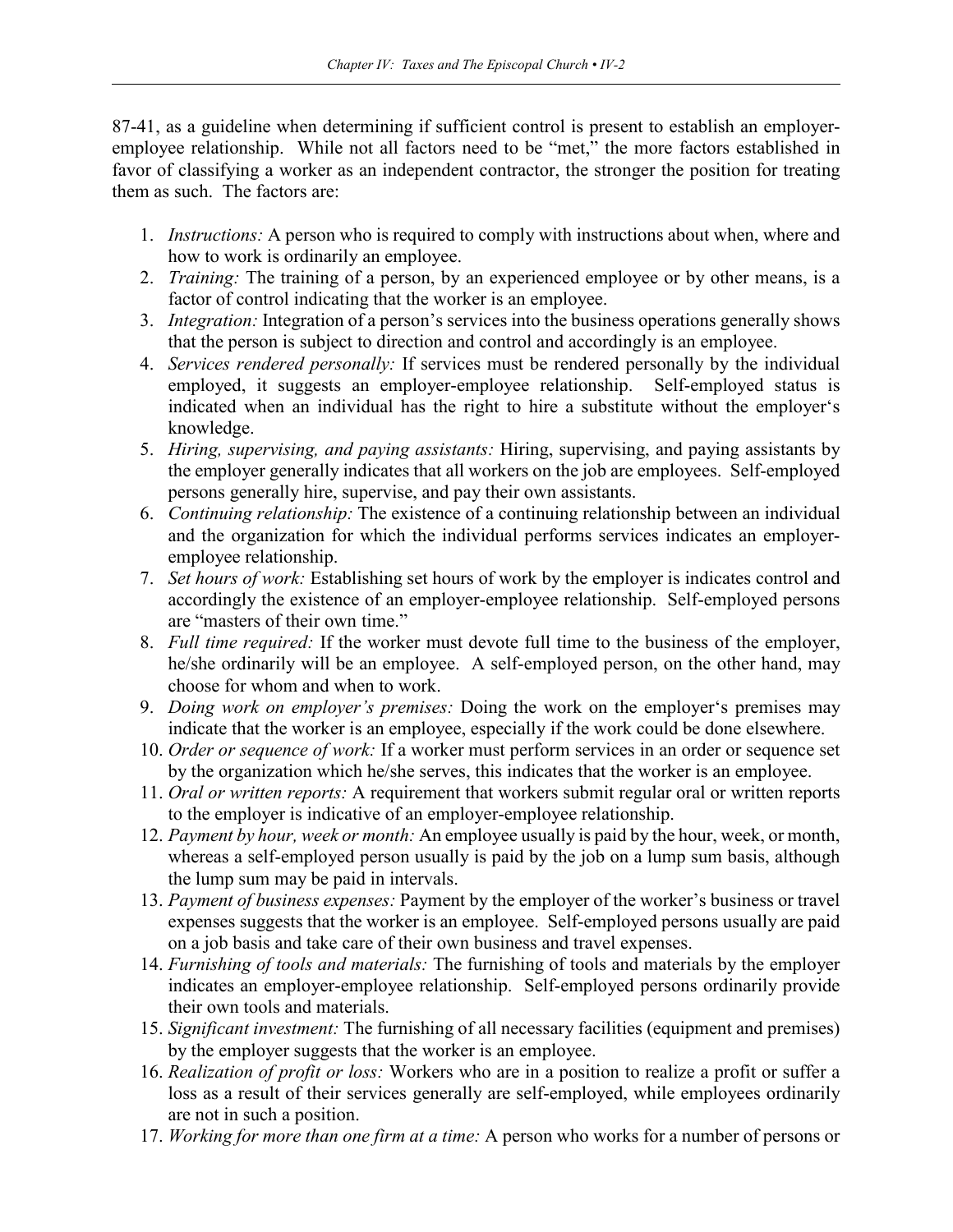87-41, as a guideline when determining if sufficient control is present to establish an employeremployee relationship. While not all factors need to be "met," the more factors established in favor of classifying a worker as an independent contractor, the stronger the position for treating them as such. The factors are:

- 1. *Instructions:* A person who is required to comply with instructions about when, where and how to work is ordinarily an employee.
- 2. *Training:* The training of a person, by an experienced employee or by other means, is a factor of control indicating that the worker is an employee.
- 3. *Integration:* Integration of a person's services into the business operations generally shows that the person is subject to direction and control and accordingly is an employee.
- 4. *Services rendered personally:* If services must be rendered personally by the individual employed, it suggests an employer-employee relationship. Self-employed status is indicated when an individual has the right to hire a substitute without the employer's knowledge.
- 5. *Hiring, supervising, and paying assistants:* Hiring, supervising, and paying assistants by the employer generally indicates that all workers on the job are employees. Self-employed persons generally hire, supervise, and pay their own assistants.
- 6. *Continuing relationship:* The existence of a continuing relationship between an individual and the organization for which the individual performs services indicates an employeremployee relationship.
- 7. *Set hours of work:* Establishing set hours of work by the employer is indicates control and accordingly the existence of an employer-employee relationship. Self-employed persons are "masters of their own time."
- 8. *Full time required:* If the worker must devote full time to the business of the employer, he/she ordinarily will be an employee. A self-employed person, on the other hand, may choose for whom and when to work.
- 9. *Doing work on employer's premises:* Doing the work on the employer's premises may indicate that the worker is an employee, especially if the work could be done elsewhere.
- 10. *Order or sequence of work:* If a worker must perform services in an order or sequence set by the organization which he/she serves, this indicates that the worker is an employee.
- 11. *Oral or written reports:* A requirement that workers submit regular oral or written reports to the employer is indicative of an employer-employee relationship.
- 12. *Payment by hour, week or month:* An employee usually is paid by the hour, week, or month, whereas a self-employed person usually is paid by the job on a lump sum basis, although the lump sum may be paid in intervals.
- 13. *Payment of business expenses:* Payment by the employer of the worker's business or travel expenses suggests that the worker is an employee. Self-employed persons usually are paid on a job basis and take care of their own business and travel expenses.
- 14. *Furnishing of tools and materials:* The furnishing of tools and materials by the employer indicates an employer-employee relationship. Self-employed persons ordinarily provide their own tools and materials.
- 15. *Significant investment:* The furnishing of all necessary facilities (equipment and premises) by the employer suggests that the worker is an employee.
- 16. *Realization of profit or loss:* Workers who are in a position to realize a profit or suffer a loss as a result of their services generally are self-employed, while employees ordinarily are not in such a position.
- 17. *Working for more than one firm at a time:* A person who works for a number of persons or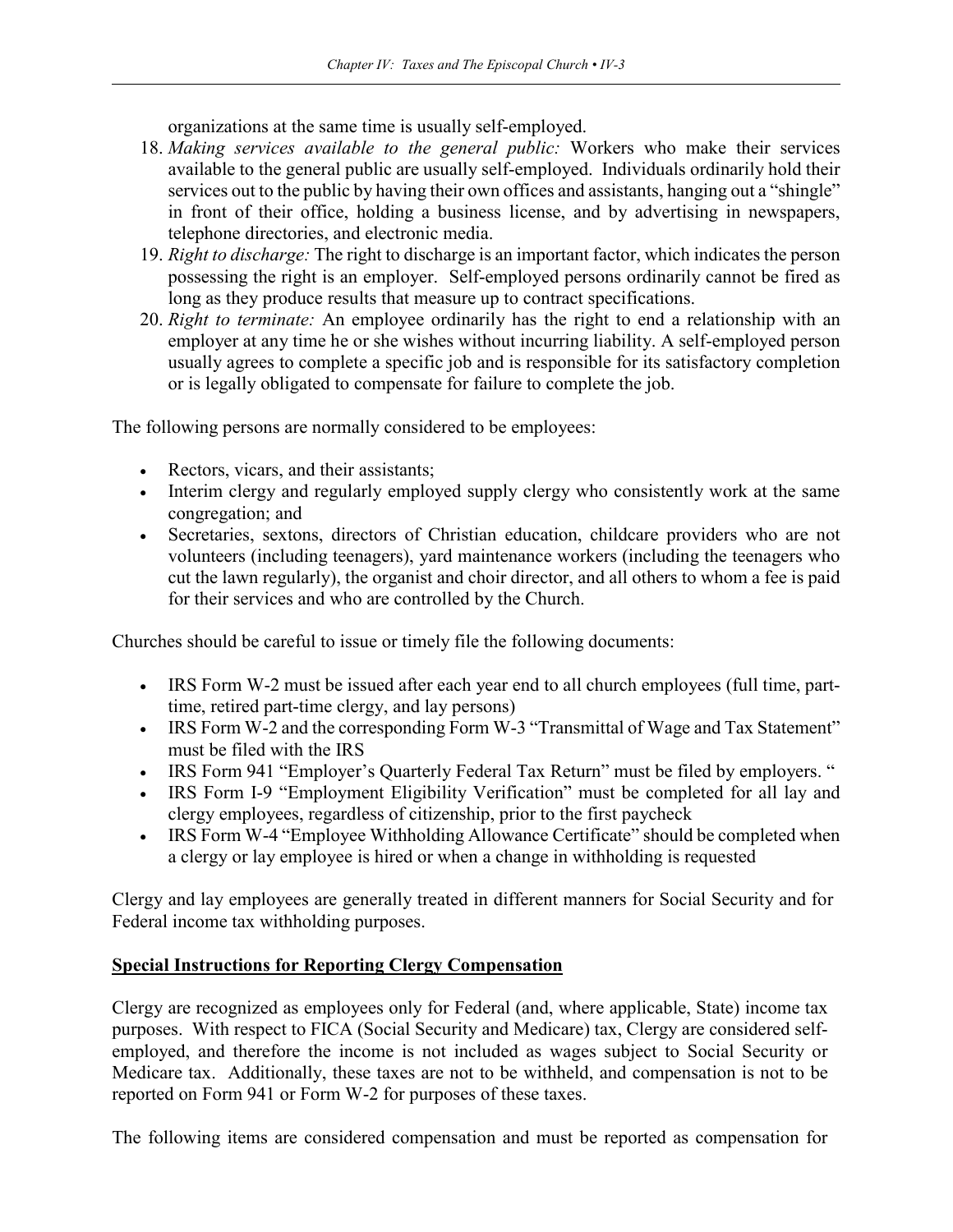organizations at the same time is usually self-employed.

- 18. *Making services available to the general public:* Workers who make their services available to the general public are usually self-employed. Individuals ordinarily hold their services out to the public by having their own offices and assistants, hanging out a "shingle" in front of their office, holding a business license, and by advertising in newspapers, telephone directories, and electronic media.
- 19. *Right to discharge:* The right to discharge is an important factor, which indicates the person possessing the right is an employer. Self-employed persons ordinarily cannot be fired as long as they produce results that measure up to contract specifications.
- 20. *Right to terminate:* An employee ordinarily has the right to end a relationship with an employer at any time he or she wishes without incurring liability. A self-employed person usually agrees to complete a specific job and is responsible for its satisfactory completion or is legally obligated to compensate for failure to complete the job.

The following persons are normally considered to be employees:

- Rectors, vicars, and their assistants;
- Interim clergy and regularly employed supply clergy who consistently work at the same congregation; and
- Secretaries, sextons, directors of Christian education, childcare providers who are not volunteers (including teenagers), yard maintenance workers (including the teenagers who cut the lawn regularly), the organist and choir director, and all others to whom a fee is paid for their services and who are controlled by the Church.

Churches should be careful to issue or timely file the following documents:

- IRS Form W-2 must be issued after each year end to all church employees (full time, parttime, retired part-time clergy, and lay persons)
- IRS Form W-2 and the corresponding Form W-3 "Transmittal of Wage and Tax Statement" must be filed with the IRS
- IRS Form 941 "Employer's Quarterly Federal Tax Return" must be filed by employers. "
- IRS Form I-9 "Employment Eligibility Verification" must be completed for all lay and clergy employees, regardless of citizenship, prior to the first paycheck
- IRS Form W-4 "Employee Withholding Allowance Certificate" should be completed when a clergy or lay employee is hired or when a change in withholding is requested

Clergy and lay employees are generally treated in different manners for Social Security and for Federal income tax withholding purposes.

### **Special Instructions for Reporting Clergy Compensation**

Clergy are recognized as employees only for Federal (and, where applicable, State) income tax purposes. With respect to FICA (Social Security and Medicare) tax, Clergy are considered selfemployed, and therefore the income is not included as wages subject to Social Security or Medicare tax. Additionally, these taxes are not to be withheld, and compensation is not to be reported on Form 941 or Form W-2 for purposes of these taxes.

The following items are considered compensation and must be reported as compensation for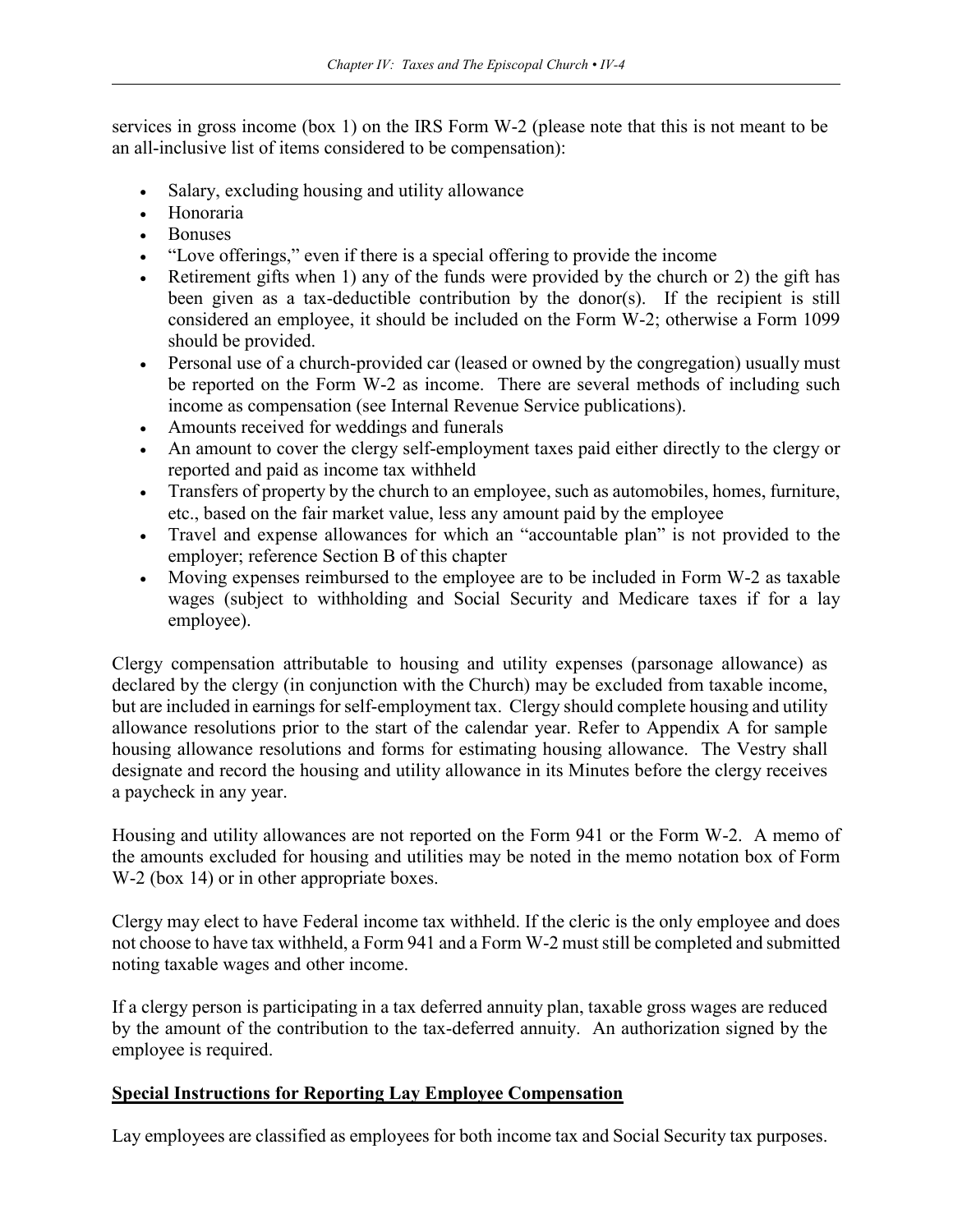services in gross income (box 1) on the IRS Form W-2 (please note that this is not meant to be an all-inclusive list of items considered to be compensation):

- Salary, excluding housing and utility allowance
- Honoraria
- Bonuses
- "Love offerings," even if there is a special offering to provide the income
- Retirement gifts when 1) any of the funds were provided by the church or 2) the gift has been given as a tax-deductible contribution by the donor(s). If the recipient is still considered an employee, it should be included on the Form W-2; otherwise a Form 1099 should be provided.
- Personal use of a church-provided car (leased or owned by the congregation) usually must be reported on the Form W-2 as income. There are several methods of including such income as compensation (see Internal Revenue Service publications).
- Amounts received for weddings and funerals
- An amount to cover the clergy self-employment taxes paid either directly to the clergy or reported and paid as income tax withheld
- Transfers of property by the church to an employee, such as automobiles, homes, furniture, etc., based on the fair market value, less any amount paid by the employee
- Travel and expense allowances for which an "accountable plan" is not provided to the employer; reference Section B of this chapter
- Moving expenses reimbursed to the employee are to be included in Form W-2 as taxable wages (subject to withholding and Social Security and Medicare taxes if for a lay employee).

Clergy compensation attributable to housing and utility expenses (parsonage allowance) as declared by the clergy (in conjunction with the Church) may be excluded from taxable income, but are included in earnings for self-employment tax. Clergy should complete housing and utility allowance resolutions prior to the start of the calendar year. Refer to Appendix A for sample housing allowance resolutions and forms for estimating housing allowance. The Vestry shall designate and record the housing and utility allowance in its Minutes before the clergy receives a paycheck in any year.

Housing and utility allowances are not reported on the Form 941 or the Form W-2. A memo of the amounts excluded for housing and utilities may be noted in the memo notation box of Form W-2 (box 14) or in other appropriate boxes.

Clergy may elect to have Federal income tax withheld. If the cleric is the only employee and does not choose to have tax withheld, a Form 941 and a Form W-2 must still be completed and submitted noting taxable wages and other income.

If a clergy person is participating in a tax deferred annuity plan, taxable gross wages are reduced by the amount of the contribution to the tax-deferred annuity. An authorization signed by the employee is required.

### **Special Instructions for Reporting Lay Employee Compensation**

Lay employees are classified as employees for both income tax and Social Security tax purposes.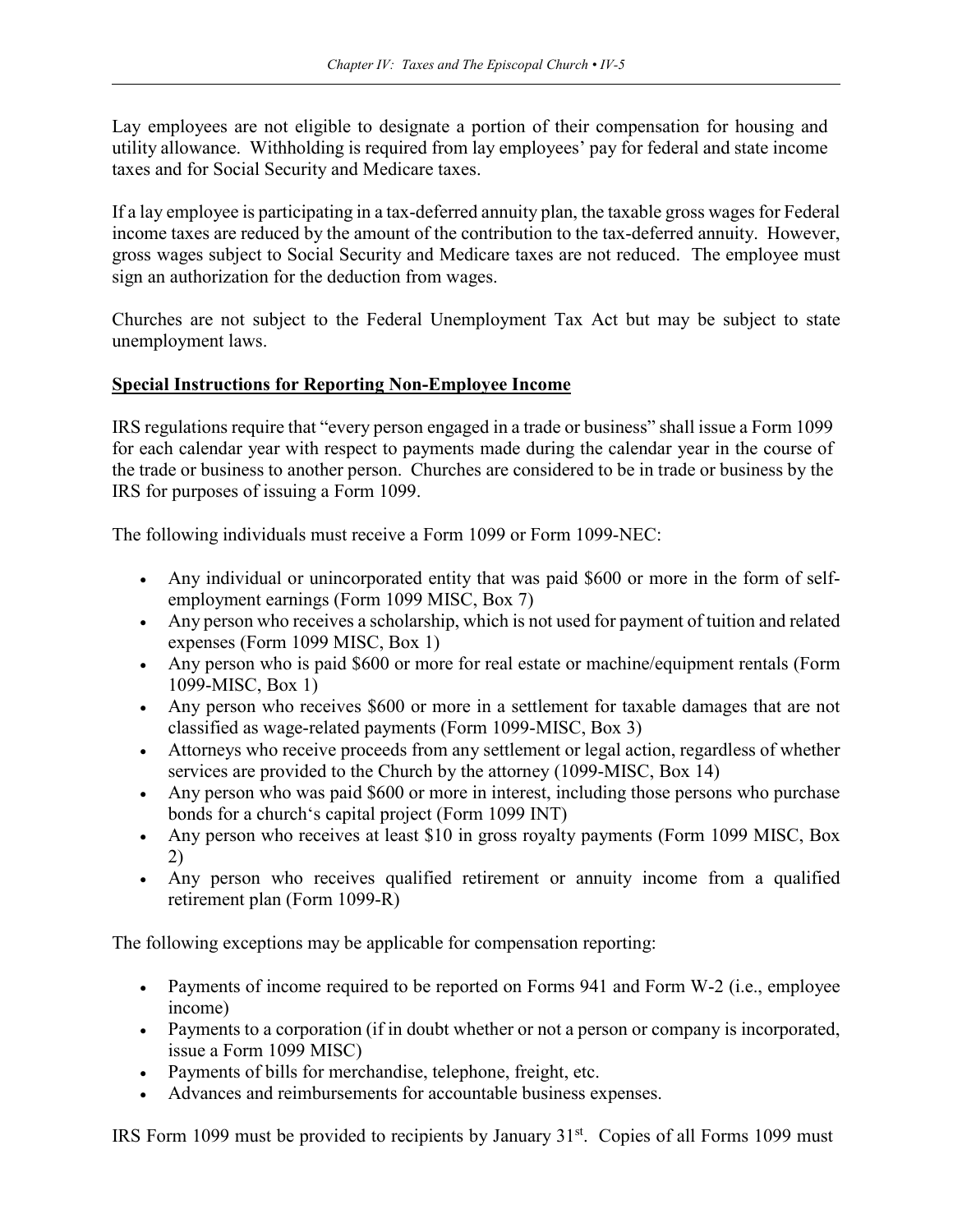Lay employees are not eligible to designate a portion of their compensation for housing and utility allowance. Withholding is required from lay employees' pay for federal and state income taxes and for Social Security and Medicare taxes.

If a lay employee is participating in a tax-deferred annuity plan, the taxable gross wages for Federal income taxes are reduced by the amount of the contribution to the tax-deferred annuity. However, gross wages subject to Social Security and Medicare taxes are not reduced. The employee must sign an authorization for the deduction from wages.

Churches are not subject to the Federal Unemployment Tax Act but may be subject to state unemployment laws.

### **Special Instructions for Reporting Non-Employee Income**

IRS regulations require that "every person engaged in a trade or business" shall issue a Form 1099 for each calendar year with respect to payments made during the calendar year in the course of the trade or business to another person. Churches are considered to be in trade or business by the IRS for purposes of issuing a Form 1099.

The following individuals must receive a Form 1099 or Form 1099-NEC:

- Any individual or unincorporated entity that was paid \$600 or more in the form of selfemployment earnings (Form 1099 MISC, Box 7)
- Any person who receives a scholarship, which is not used for payment of tuition and related expenses (Form 1099 MISC, Box 1)
- Any person who is paid \$600 or more for real estate or machine/equipment rentals (Form 1099-MISC, Box 1)
- Any person who receives \$600 or more in a settlement for taxable damages that are not classified as wage-related payments (Form 1099-MISC, Box 3)
- Attorneys who receive proceeds from any settlement or legal action, regardless of whether services are provided to the Church by the attorney (1099-MISC, Box 14)
- Any person who was paid \$600 or more in interest, including those persons who purchase bonds for a church's capital project (Form 1099 INT)
- Any person who receives at least \$10 in gross royalty payments (Form 1099 MISC, Box 2)
- Any person who receives qualified retirement or annuity income from a qualified retirement plan (Form 1099-R)

The following exceptions may be applicable for compensation reporting:

- Payments of income required to be reported on Forms 941 and Form W-2 (i.e., employee income)
- Payments to a corporation (if in doubt whether or not a person or company is incorporated, issue a Form 1099 MISC)
- Payments of bills for merchandise, telephone, freight, etc.
- Advances and reimbursements for accountable business expenses.

IRS Form 1099 must be provided to recipients by January 31st. Copies of all Forms 1099 must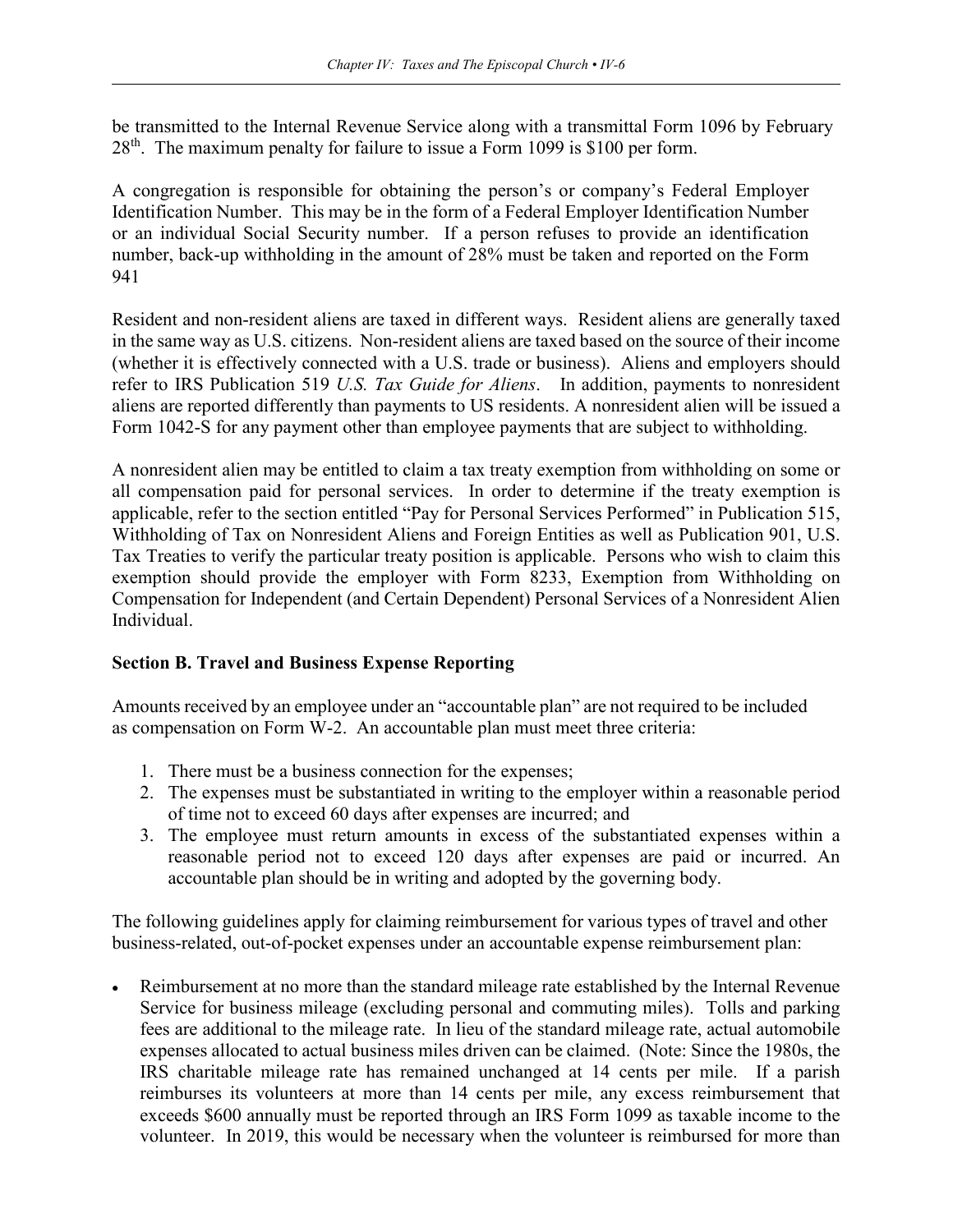be transmitted to the Internal Revenue Service along with a transmittal Form 1096 by February  $28<sup>th</sup>$ . The maximum penalty for failure to issue a Form 1099 is \$100 per form.

A congregation is responsible for obtaining the person's or company's Federal Employer Identification Number. This may be in the form of a Federal Employer Identification Number or an individual Social Security number. If a person refuses to provide an identification number, back-up withholding in the amount of 28% must be taken and reported on the Form 941

Resident and non-resident aliens are taxed in different ways. Resident aliens are generally taxed in the same way as U.S. citizens. Non-resident aliens are taxed based on the source of their income (whether it is effectively connected with a U.S. trade or business). Aliens and employers should refer to IRS Publication 519 *U.S. Tax Guide for Aliens*. In addition, payments to nonresident aliens are reported differently than payments to US residents. A nonresident alien will be issued a Form 1042-S for any payment other than employee payments that are subject to withholding.

A nonresident alien may be entitled to claim a tax treaty exemption from withholding on some or all compensation paid for personal services. In order to determine if the treaty exemption is applicable, refer to the section entitled "Pay for Personal Services Performed" in Publication 515, Withholding of Tax on Nonresident Aliens and Foreign Entities as well as Publication 901, U.S. Tax Treaties to verify the particular treaty position is applicable. Persons who wish to claim this exemption should provide the employer with Form 8233, Exemption from Withholding on Compensation for Independent (and Certain Dependent) Personal Services of a Nonresident Alien Individual.

### **Section B. Travel and Business Expense Reporting**

Amounts received by an employee under an "accountable plan" are not required to be included as compensation on Form W-2. An accountable plan must meet three criteria:

- 1. There must be a business connection for the expenses;
- 2. The expenses must be substantiated in writing to the employer within a reasonable period of time not to exceed 60 days after expenses are incurred; and
- 3. The employee must return amounts in excess of the substantiated expenses within a reasonable period not to exceed 120 days after expenses are paid or incurred. An accountable plan should be in writing and adopted by the governing body.

The following guidelines apply for claiming reimbursement for various types of travel and other business-related, out-of-pocket expenses under an accountable expense reimbursement plan:

• Reimbursement at no more than the standard mileage rate established by the Internal Revenue Service for business mileage (excluding personal and commuting miles). Tolls and parking fees are additional to the mileage rate. In lieu of the standard mileage rate, actual automobile expenses allocated to actual business miles driven can be claimed. (Note: Since the 1980s, the IRS charitable mileage rate has remained unchanged at 14 cents per mile. If a parish reimburses its volunteers at more than 14 cents per mile, any excess reimbursement that exceeds \$600 annually must be reported through an IRS Form 1099 as taxable income to the volunteer. In 2019, this would be necessary when the volunteer is reimbursed for more than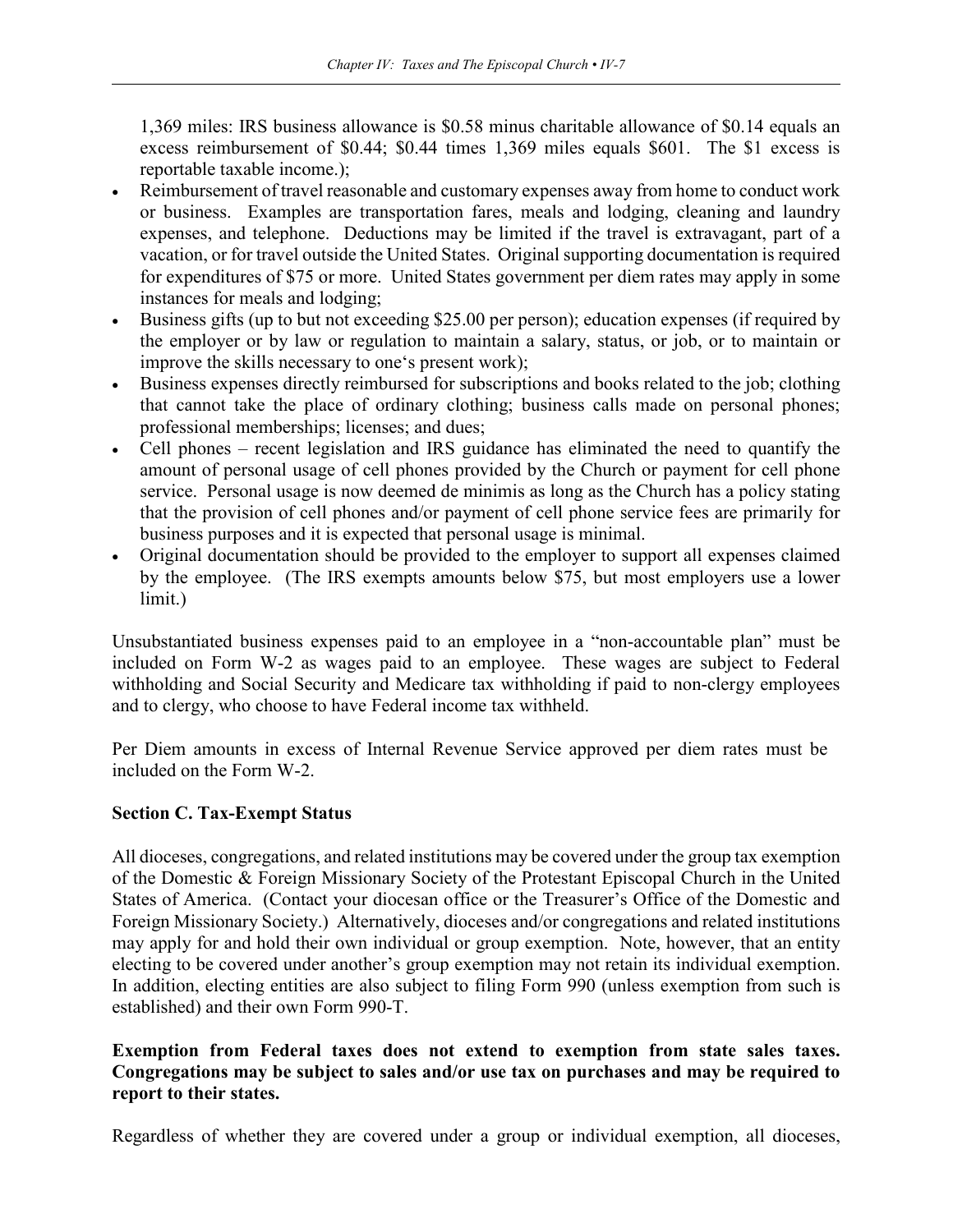1,369 miles: IRS business allowance is \$0.58 minus charitable allowance of \$0.14 equals an excess reimbursement of \$0.44; \$0.44 times 1,369 miles equals \$601. The \$1 excess is reportable taxable income.);

- Reimbursement of travel reasonable and customary expenses away from home to conduct work or business. Examples are transportation fares, meals and lodging, cleaning and laundry expenses, and telephone. Deductions may be limited if the travel is extravagant, part of a vacation, or for travel outside the United States. Original supporting documentation is required for expenditures of \$75 or more. United States government per diem rates may apply in some instances for meals and lodging;
- Business gifts (up to but not exceeding \$25.00 per person); education expenses (if required by the employer or by law or regulation to maintain a salary, status, or job, or to maintain or improve the skills necessary to one's present work);
- Business expenses directly reimbursed for subscriptions and books related to the job; clothing that cannot take the place of ordinary clothing; business calls made on personal phones; professional memberships; licenses; and dues;
- Cell phones recent legislation and IRS guidance has eliminated the need to quantify the amount of personal usage of cell phones provided by the Church or payment for cell phone service. Personal usage is now deemed de minimis as long as the Church has a policy stating that the provision of cell phones and/or payment of cell phone service fees are primarily for business purposes and it is expected that personal usage is minimal.
- Original documentation should be provided to the employer to support all expenses claimed by the employee. (The IRS exempts amounts below \$75, but most employers use a lower limit.)

Unsubstantiated business expenses paid to an employee in a "non-accountable plan" must be included on Form W-2 as wages paid to an employee. These wages are subject to Federal withholding and Social Security and Medicare tax withholding if paid to non-clergy employees and to clergy, who choose to have Federal income tax withheld.

Per Diem amounts in excess of Internal Revenue Service approved per diem rates must be included on the Form W-2.

## **Section C. Tax-Exempt Status**

All dioceses, congregations, and related institutions may be covered under the group tax exemption of the Domestic & Foreign Missionary Society of the Protestant Episcopal Church in the United States of America. (Contact your diocesan office or the Treasurer's Office of the Domestic and Foreign Missionary Society.) Alternatively, dioceses and/or congregations and related institutions may apply for and hold their own individual or group exemption. Note, however, that an entity electing to be covered under another's group exemption may not retain its individual exemption. In addition, electing entities are also subject to filing Form 990 (unless exemption from such is established) and their own Form 990-T.

### **Exemption from Federal taxes does not extend to exemption from state sales taxes. Congregations may be subject to sales and/or use tax on purchases and may be required to report to their states.**

Regardless of whether they are covered under a group or individual exemption, all dioceses,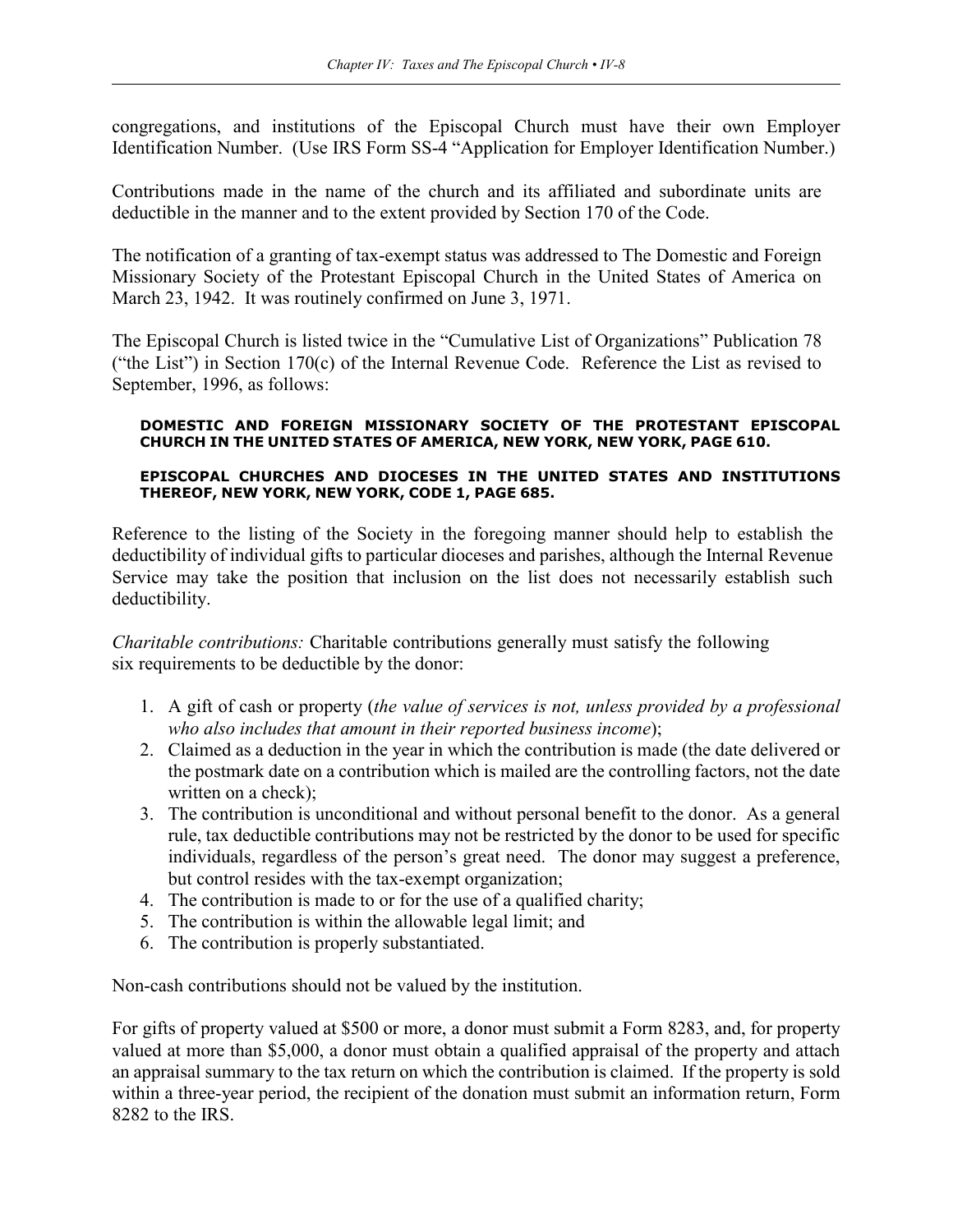congregations, and institutions of the Episcopal Church must have their own Employer Identification Number. (Use IRS Form SS-4 "Application for Employer Identification Number.)

Contributions made in the name of the church and its affiliated and subordinate units are deductible in the manner and to the extent provided by Section 170 of the Code.

The notification of a granting of tax-exempt status was addressed to The Domestic and Foreign Missionary Society of the Protestant Episcopal Church in the United States of America on March 23, 1942. It was routinely confirmed on June 3, 1971.

The Episcopal Church is listed twice in the "Cumulative List of Organizations" Publication 78 ("the List") in Section 170(c) of the Internal Revenue Code. Reference the List as revised to September, 1996, as follows:

#### **DOMESTIC AND FOREIGN MISSIONARY SOCIETY OF THE PROTESTANT EPISCOPAL CHURCH IN THE UNITED STATES OF AMERICA, NEW YORK, NEW YORK, PAGE 610.**

#### **EPISCOPAL CHURCHES AND DIOCESES IN THE UNITED STATES AND INSTITUTIONS THEREOF, NEW YORK, NEW YORK, CODE 1, PAGE 685.**

Reference to the listing of the Society in the foregoing manner should help to establish the deductibility of individual gifts to particular dioceses and parishes, although the Internal Revenue Service may take the position that inclusion on the list does not necessarily establish such deductibility.

*Charitable contributions:* Charitable contributions generally must satisfy the following six requirements to be deductible by the donor:

- 1. A gift of cash or property (*the value of services is not, unless provided by a professional who also includes that amount in their reported business income*);
- 2. Claimed as a deduction in the year in which the contribution is made (the date delivered or the postmark date on a contribution which is mailed are the controlling factors, not the date written on a check);
- 3. The contribution is unconditional and without personal benefit to the donor. As a general rule, tax deductible contributions may not be restricted by the donor to be used for specific individuals, regardless of the person's great need. The donor may suggest a preference, but control resides with the tax-exempt organization;
- 4. The contribution is made to or for the use of a qualified charity;
- 5. The contribution is within the allowable legal limit; and
- 6. The contribution is properly substantiated.

Non-cash contributions should not be valued by the institution.

For gifts of property valued at \$500 or more, a donor must submit a Form 8283, and, for property valued at more than \$5,000, a donor must obtain a qualified appraisal of the property and attach an appraisal summary to the tax return on which the contribution is claimed. If the property is sold within a three-year period, the recipient of the donation must submit an information return, Form 8282 to the IRS.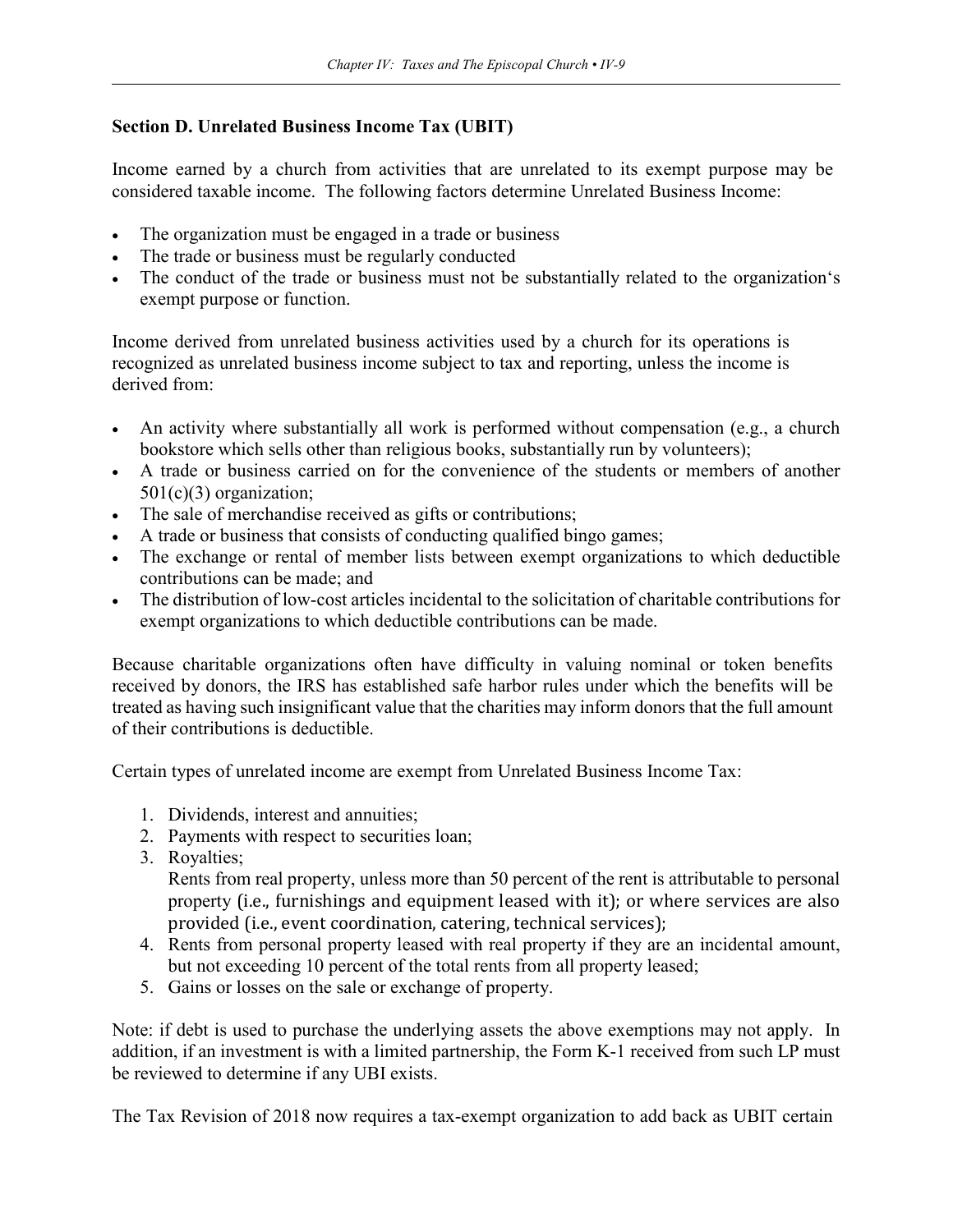### **Section D. Unrelated Business Income Tax (UBIT)**

Income earned by a church from activities that are unrelated to its exempt purpose may be considered taxable income. The following factors determine Unrelated Business Income:

- The organization must be engaged in a trade or business
- The trade or business must be regularly conducted
- The conduct of the trade or business must not be substantially related to the organization's exempt purpose or function.

Income derived from unrelated business activities used by a church for its operations is recognized as unrelated business income subject to tax and reporting, unless the income is derived from:

- An activity where substantially all work is performed without compensation (e.g., a church bookstore which sells other than religious books, substantially run by volunteers);
- A trade or business carried on for the convenience of the students or members of another 501(c)(3) organization;
- The sale of merchandise received as gifts or contributions;
- A trade or business that consists of conducting qualified bingo games;
- The exchange or rental of member lists between exempt organizations to which deductible contributions can be made; and
- The distribution of low-cost articles incidental to the solicitation of charitable contributions for exempt organizations to which deductible contributions can be made.

Because charitable organizations often have difficulty in valuing nominal or token benefits received by donors, the IRS has established safe harbor rules under which the benefits will be treated as having such insignificant value that the charities may inform donors that the full amount of their contributions is deductible.

Certain types of unrelated income are exempt from Unrelated Business Income Tax:

- 1. Dividends, interest and annuities;
- 2. Payments with respect to securities loan;
- 3. Royalties;

Rents from real property, unless more than 50 percent of the rent is attributable to personal property (i.e., furnishings and equipment leased with it); or where services are also provided (i.e., event coordination, catering, technical services);

- 4. Rents from personal property leased with real property if they are an incidental amount, but not exceeding 10 percent of the total rents from all property leased;
- 5. Gains or losses on the sale or exchange of property.

Note: if debt is used to purchase the underlying assets the above exemptions may not apply. In addition, if an investment is with a limited partnership, the Form K-1 received from such LP must be reviewed to determine if any UBI exists.

The Tax Revision of 2018 now requires a tax-exempt organization to add back as UBIT certain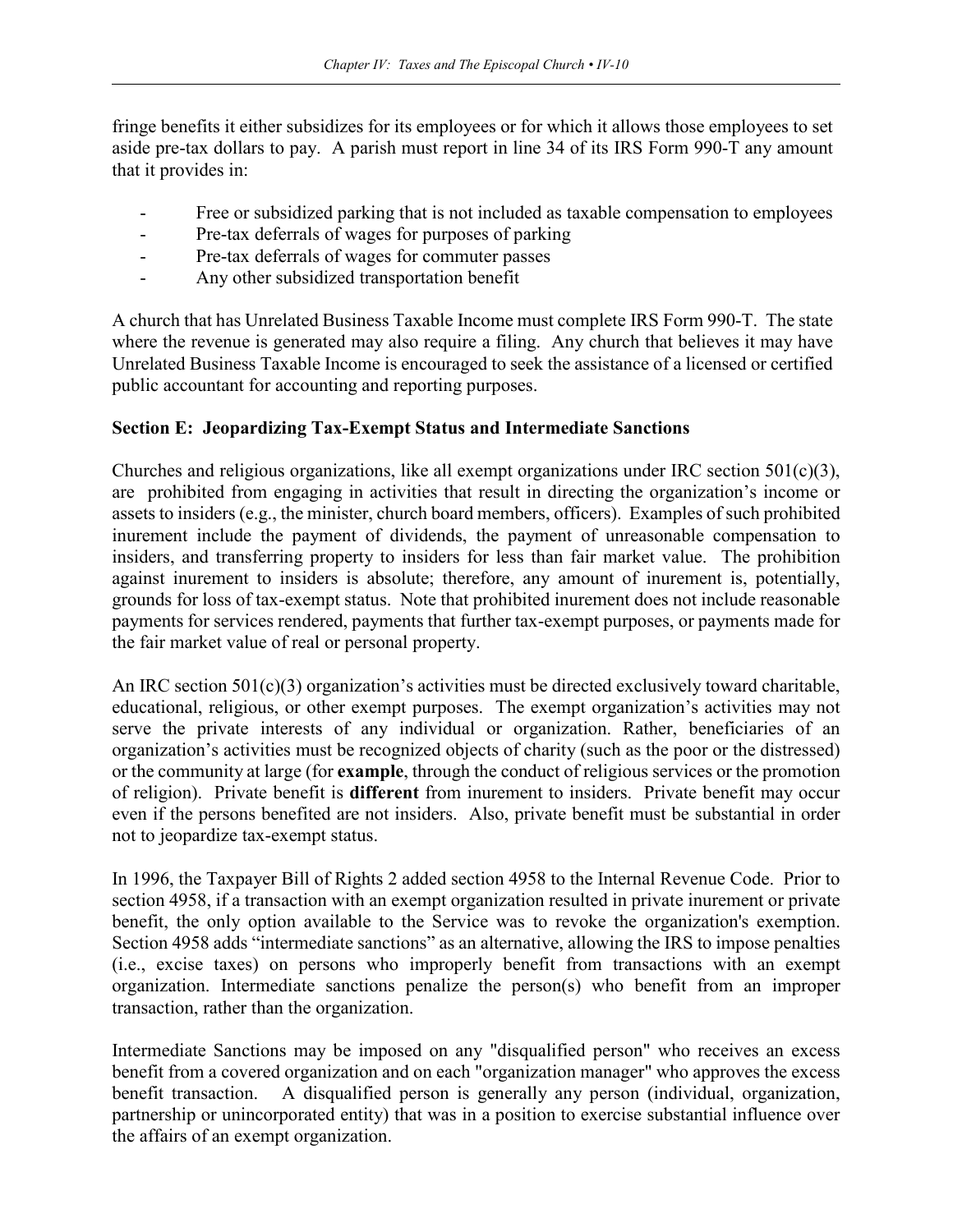fringe benefits it either subsidizes for its employees or for which it allows those employees to set aside pre-tax dollars to pay. A parish must report in line 34 of its IRS Form 990-T any amount that it provides in:

- Free or subsidized parking that is not included as taxable compensation to employees
- Pre-tax deferrals of wages for purposes of parking
- Pre-tax deferrals of wages for commuter passes
- Any other subsidized transportation benefit

A church that has Unrelated Business Taxable Income must complete IRS Form 990-T. The state where the revenue is generated may also require a filing. Any church that believes it may have Unrelated Business Taxable Income is encouraged to seek the assistance of a licensed or certified public accountant for accounting and reporting purposes.

### **Section E: Jeopardizing Tax-Exempt Status and Intermediate Sanctions**

Churches and religious organizations, like all exempt organizations under IRC section 501(c)(3), are prohibited from engaging in activities that result in directing the organization's income or assets to insiders (e.g., the minister, church board members, officers). Examples of such prohibited inurement include the payment of dividends, the payment of unreasonable compensation to insiders, and transferring property to insiders for less than fair market value. The prohibition against inurement to insiders is absolute; therefore, any amount of inurement is, potentially, grounds for loss of tax-exempt status. Note that prohibited inurement does not include reasonable payments for services rendered, payments that further tax-exempt purposes, or payments made for the fair market value of real or personal property.

An IRC section 501(c)(3) organization's activities must be directed exclusively toward charitable, educational, religious, or other exempt purposes. The exempt organization's activities may not serve the private interests of any individual or organization. Rather, beneficiaries of an organization's activities must be recognized objects of charity (such as the poor or the distressed) or the community at large (for **example**, through the conduct of religious services or the promotion of religion).Private benefit is **different** from inurement to insiders. Private benefit may occur even if the persons benefited are not insiders. Also, private benefit must be substantial in order not to jeopardize tax-exempt status.

In 1996, the Taxpayer Bill of Rights 2 added section 4958 to the Internal Revenue Code. Prior to section 4958, if a transaction with an exempt organization resulted in private inurement or private benefit, the only option available to the Service was to revoke the organization's exemption. Section 4958 adds "intermediate sanctions" as an alternative, allowing the IRS to impose penalties (i.e., excise taxes) on persons who improperly benefit from transactions with an exempt organization. Intermediate sanctions penalize the person(s) who benefit from an improper transaction, rather than the organization.

Intermediate Sanctions may be imposed on any "disqualified person" who receives an excess benefit from a covered organization and on each "organization manager" who approves the excess benefit transaction. A disqualified person is generally any person (individual, organization, partnership or unincorporated entity) that was in a position to exercise substantial influence over the affairs of an exempt organization.